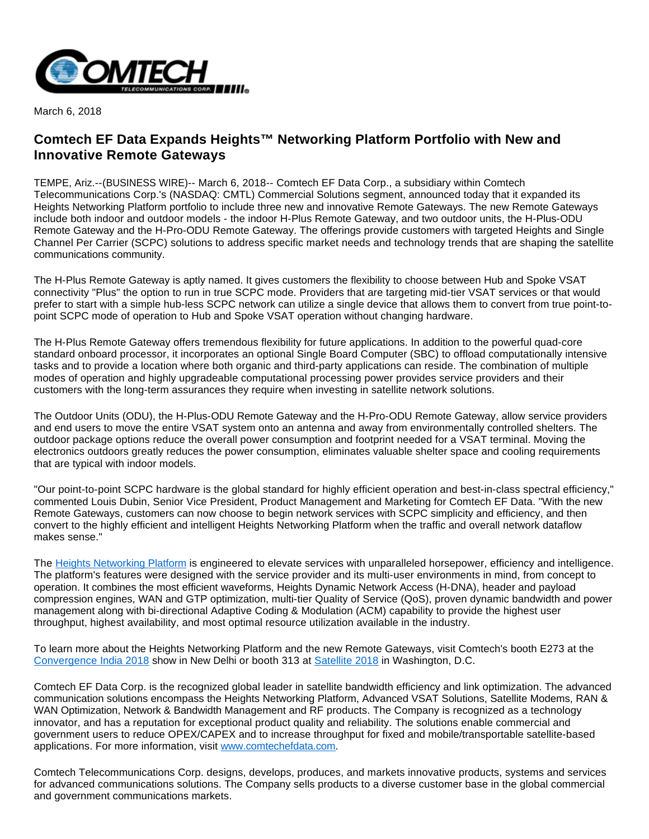

March 6, 2018

## **Comtech EF Data Expands Heights™ Networking Platform Portfolio with New and Innovative Remote Gateways**

TEMPE, Ariz.--(BUSINESS WIRE)-- March 6, 2018-- Comtech EF Data Corp., a subsidiary within Comtech Telecommunications Corp.'s (NASDAQ: CMTL) Commercial Solutions segment, announced today that it expanded its Heights Networking Platform portfolio to include three new and innovative Remote Gateways. The new Remote Gateways include both indoor and outdoor models - the indoor H-Plus Remote Gateway, and two outdoor units, the H-Plus-ODU Remote Gateway and the H-Pro-ODU Remote Gateway. The offerings provide customers with targeted Heights and Single Channel Per Carrier (SCPC) solutions to address specific market needs and technology trends that are shaping the satellite communications community.

The H-Plus Remote Gateway is aptly named. It gives customers the flexibility to choose between Hub and Spoke VSAT connectivity "Plus" the option to run in true SCPC mode. Providers that are targeting mid-tier VSAT services or that would prefer to start with a simple hub-less SCPC network can utilize a single device that allows them to convert from true point-topoint SCPC mode of operation to Hub and Spoke VSAT operation without changing hardware.

The H-Plus Remote Gateway offers tremendous flexibility for future applications. In addition to the powerful quad-core standard onboard processor, it incorporates an optional Single Board Computer (SBC) to offload computationally intensive tasks and to provide a location where both organic and third-party applications can reside. The combination of multiple modes of operation and highly upgradeable computational processing power provides service providers and their customers with the long-term assurances they require when investing in satellite network solutions.

The Outdoor Units (ODU), the H-Plus-ODU Remote Gateway and the H-Pro-ODU Remote Gateway, allow service providers and end users to move the entire VSAT system onto an antenna and away from environmentally controlled shelters. The outdoor package options reduce the overall power consumption and footprint needed for a VSAT terminal. Moving the electronics outdoors greatly reduces the power consumption, eliminates valuable shelter space and cooling requirements that are typical with indoor models.

"Our point-to-point SCPC hardware is the global standard for highly efficient operation and best-in-class spectral efficiency," commented Louis Dubin, Senior Vice President, Product Management and Marketing for Comtech EF Data. "With the new Remote Gateways, customers can now choose to begin network services with SCPC simplicity and efficiency, and then convert to the highly efficient and intelligent Heights Networking Platform when the traffic and overall network dataflow makes sense."

The [Heights Networking Platform](http://cts.businesswire.com/ct/CT?id=smartlink&url=https%3A%2F%2Fwww.comtechefdata.com%2Fproducts%2Fheights-networking-platform&esheet=51768382&newsitemid=20180306005449&lan=en-US&anchor=Heights+Networking+Platform&index=1&md5=0d72f137e34e7f7631cb73650672ce18) is engineered to elevate services with unparalleled horsepower, efficiency and intelligence. The platform's features were designed with the service provider and its multi-user environments in mind, from concept to operation. It combines the most efficient waveforms, Heights Dynamic Network Access (H-DNA), header and payload compression engines, WAN and GTP optimization, multi-tier Quality of Service (QoS), proven dynamic bandwidth and power management along with bi-directional Adaptive Coding & Modulation (ACM) capability to provide the highest user throughput, highest availability, and most optimal resource utilization available in the industry.

To learn more about the Heights Networking Platform and the new Remote Gateways, visit Comtech's booth E273 at the [Convergence India 2018](http://cts.businesswire.com/ct/CT?id=smartlink&url=http%3A%2F%2Fwww.convergenceindia.org%2F&esheet=51768382&newsitemid=20180306005449&lan=en-US&anchor=Convergence+India+2018&index=2&md5=a0ed48c1e833e2f2250977ffebdbaef9) show in New Delhi or booth 313 at [Satellite 2018](http://cts.businesswire.com/ct/CT?id=smartlink&url=http%3A%2F%2F2018.satshow.com%2F&esheet=51768382&newsitemid=20180306005449&lan=en-US&anchor=Satellite+2018&index=3&md5=badcc09a09091602d2c7d146ff5d056c) in Washington, D.C.

Comtech EF Data Corp. is the recognized global leader in satellite bandwidth efficiency and link optimization. The advanced communication solutions encompass the Heights Networking Platform, Advanced VSAT Solutions, Satellite Modems, RAN & WAN Optimization, Network & Bandwidth Management and RF products. The Company is recognized as a technology innovator, and has a reputation for exceptional product quality and reliability. The solutions enable commercial and government users to reduce OPEX/CAPEX and to increase throughput for fixed and mobile/transportable satellite-based applications. For more information, visit [www.comtechefdata.com.](http://cts.businesswire.com/ct/CT?id=smartlink&url=http%3A%2F%2Fwww.comtechefdata.com&esheet=51768382&newsitemid=20180306005449&lan=en-US&anchor=www.comtechefdata.com&index=4&md5=ea644f0f0555e3d107b20fe09f324397)

Comtech Telecommunications Corp. designs, develops, produces, and markets innovative products, systems and services for advanced communications solutions. The Company sells products to a diverse customer base in the global commercial and government communications markets.